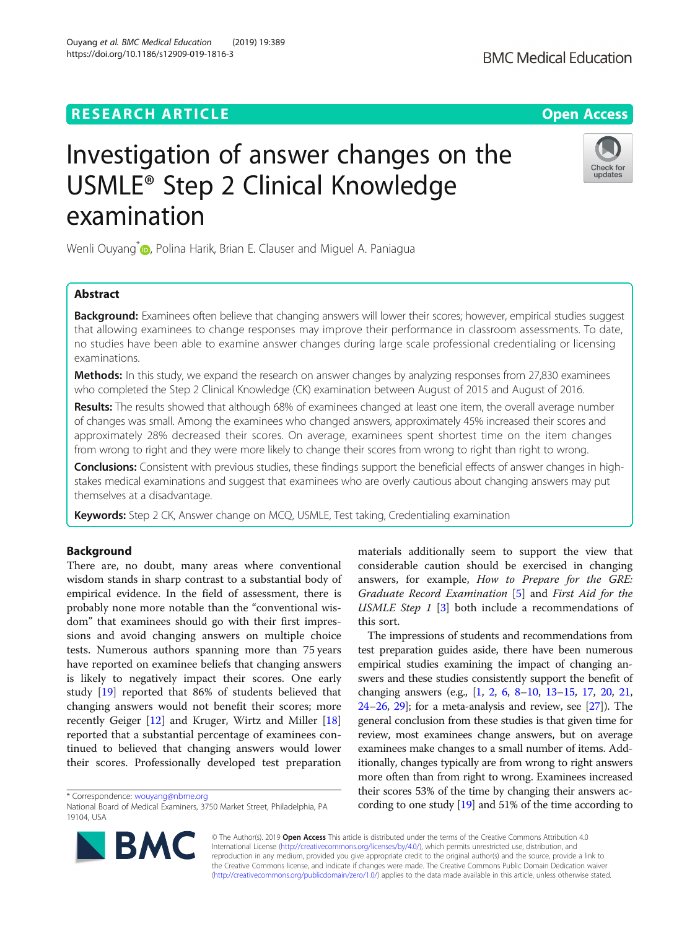## **RESEARCH ARTICLE Example 2014 CONSIDERING A RESEARCH ARTICLE**

# Investigation of answer changes on the USMLE® Step 2 Clinical Knowledge examination

Wenli Ouyang<sup>[\\*](http://orcid.org/0000-0003-2760-6080)</sup> , Polina Harik, Brian E. Clauser and Miguel A. Paniagua

## Abstract

Background: Examinees often believe that changing answers will lower their scores; however, empirical studies suggest that allowing examinees to change responses may improve their performance in classroom assessments. To date, no studies have been able to examine answer changes during large scale professional credentialing or licensing examinations.

Methods: In this study, we expand the research on answer changes by analyzing responses from 27,830 examinees who completed the Step 2 Clinical Knowledge (CK) examination between August of 2015 and August of 2016.

Results: The results showed that although 68% of examinees changed at least one item, the overall average number of changes was small. Among the examinees who changed answers, approximately 45% increased their scores and approximately 28% decreased their scores. On average, examinees spent shortest time on the item changes from wrong to right and they were more likely to change their scores from wrong to right than right to wrong.

Conclusions: Consistent with previous studies, these findings support the beneficial effects of answer changes in highstakes medical examinations and suggest that examinees who are overly cautious about changing answers may put themselves at a disadvantage.

Keywords: Step 2 CK, Answer change on MCQ, USMLE, Test taking, Credentialing examination

## Background

There are, no doubt, many areas where conventional wisdom stands in sharp contrast to a substantial body of empirical evidence. In the field of assessment, there is probably none more notable than the "conventional wisdom" that examinees should go with their first impressions and avoid changing answers on multiple choice tests. Numerous authors spanning more than 75 years have reported on examinee beliefs that changing answers is likely to negatively impact their scores. One early study [\[19](#page-6-0)] reported that 86% of students believed that changing answers would not benefit their scores; more recently Geiger [[12](#page-6-0)] and Kruger, Wirtz and Miller [[18](#page-6-0)] reported that a substantial percentage of examinees continued to believed that changing answers would lower their scores. Professionally developed test preparation

\* Correspondence: [wouyang@nbme.org](mailto:wouyang@nbme.org)

© The Author(s). 2019 Open Access This article is distributed under the terms of the Creative Commons Attribution 4.0 International License [\(http://creativecommons.org/licenses/by/4.0/](http://creativecommons.org/licenses/by/4.0/)), which permits unrestricted use, distribution, and reproduction in any medium, provided you give appropriate credit to the original author(s) and the source, provide a link to the Creative Commons license, and indicate if changes were made. The Creative Commons Public Domain Dedication waiver [\(http://creativecommons.org/publicdomain/zero/1.0/](http://creativecommons.org/publicdomain/zero/1.0/)) applies to the data made available in this article, unless otherwise stated.

materials additionally seem to support the view that considerable caution should be exercised in changing answers, for example, How to Prepare for the GRE: Graduate Record Examination [\[5](#page-6-0)] and First Aid for the USMLE Step  $1$  [[3\]](#page-6-0) both include a recommendations of this sort.

The impressions of students and recommendations from test preparation guides aside, there have been numerous empirical studies examining the impact of changing answers and these studies consistently support the benefit of changing answers (e.g., [\[1,](#page-6-0) [2,](#page-6-0) [6,](#page-6-0) [8](#page-6-0)–[10](#page-6-0), [13](#page-6-0)–[15](#page-6-0), [17,](#page-6-0) [20,](#page-6-0) [21](#page-6-0),  $24-26$  $24-26$ ,  $29$ ]; for a meta-analysis and review, see  $[27]$ ). The general conclusion from these studies is that given time for review, most examinees change answers, but on average examinees make changes to a small number of items. Additionally, changes typically are from wrong to right answers more often than from right to wrong. Examinees increased their scores 53% of the time by changing their answers according to one study [\[19\]](#page-6-0) and 51% of the time according to







National Board of Medical Examiners, 3750 Market Street, Philadelphia, PA 19104, USA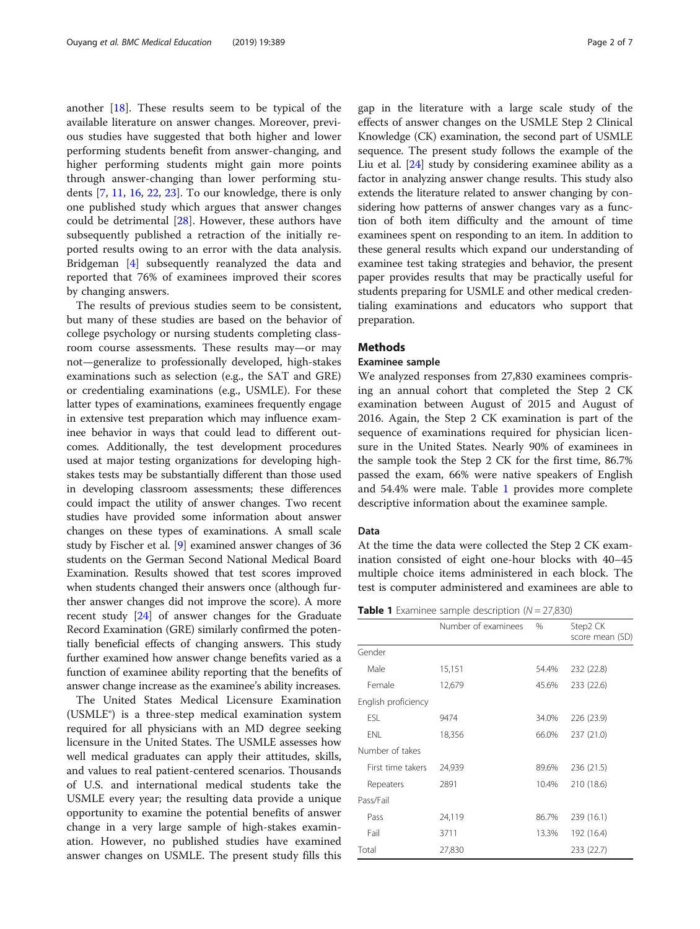another [[18\]](#page-6-0). These results seem to be typical of the available literature on answer changes. Moreover, previous studies have suggested that both higher and lower performing students benefit from answer-changing, and higher performing students might gain more points through answer-changing than lower performing students [[7,](#page-6-0) [11,](#page-6-0) [16](#page-6-0), [22](#page-6-0), [23](#page-6-0)]. To our knowledge, there is only one published study which argues that answer changes could be detrimental [[28\]](#page-6-0). However, these authors have subsequently published a retraction of the initially reported results owing to an error with the data analysis. Bridgeman [\[4](#page-6-0)] subsequently reanalyzed the data and reported that 76% of examinees improved their scores by changing answers.

The results of previous studies seem to be consistent, but many of these studies are based on the behavior of college psychology or nursing students completing classroom course assessments. These results may—or may not—generalize to professionally developed, high-stakes examinations such as selection (e.g., the SAT and GRE) or credentialing examinations (e.g., USMLE). For these latter types of examinations, examinees frequently engage in extensive test preparation which may influence examinee behavior in ways that could lead to different outcomes. Additionally, the test development procedures used at major testing organizations for developing highstakes tests may be substantially different than those used in developing classroom assessments; these differences could impact the utility of answer changes. Two recent studies have provided some information about answer changes on these types of examinations. A small scale study by Fischer et al. [\[9\]](#page-6-0) examined answer changes of 36 students on the German Second National Medical Board Examination. Results showed that test scores improved when students changed their answers once (although further answer changes did not improve the score). A more recent study [[24](#page-6-0)] of answer changes for the Graduate Record Examination (GRE) similarly confirmed the potentially beneficial effects of changing answers. This study further examined how answer change benefits varied as a function of examinee ability reporting that the benefits of answer change increase as the examinee's ability increases.

The United States Medical Licensure Examination (USMLE®) is a three-step medical examination system required for all physicians with an MD degree seeking licensure in the United States. The USMLE assesses how well medical graduates can apply their attitudes, skills, and values to real patient-centered scenarios. Thousands of U.S. and international medical students take the USMLE every year; the resulting data provide a unique opportunity to examine the potential benefits of answer change in a very large sample of high-stakes examination. However, no published studies have examined answer changes on USMLE. The present study fills this gap in the literature with a large scale study of the effects of answer changes on the USMLE Step 2 Clinical Knowledge (CK) examination, the second part of USMLE sequence. The present study follows the example of the Liu et al. [\[24](#page-6-0)] study by considering examinee ability as a factor in analyzing answer change results. This study also extends the literature related to answer changing by considering how patterns of answer changes vary as a function of both item difficulty and the amount of time examinees spent on responding to an item. In addition to these general results which expand our understanding of examinee test taking strategies and behavior, the present paper provides results that may be practically useful for students preparing for USMLE and other medical credentialing examinations and educators who support that preparation.

## Methods

## Examinee sample

We analyzed responses from 27,830 examinees comprising an annual cohort that completed the Step 2 CK examination between August of 2015 and August of 2016. Again, the Step 2 CK examination is part of the sequence of examinations required for physician licensure in the United States. Nearly 90% of examinees in the sample took the Step 2 CK for the first time, 86.7% passed the exam, 66% were native speakers of English and 54.4% were male. Table 1 provides more complete descriptive information about the examinee sample.

## Data

At the time the data were collected the Step 2 CK examination consisted of eight one-hour blocks with 40–45 multiple choice items administered in each block. The test is computer administered and examinees are able to

**Table 1** Examinee sample description ( $N = 27,830$ )

|                     | Number of examinees | %     | Step2 CK<br>score mean (SD) |
|---------------------|---------------------|-------|-----------------------------|
| Gender              |                     |       |                             |
| Male                | 15,151              | 54.4% | 232 (22.8)                  |
| Female              | 12,679              | 45.6% | 233 (22.6)                  |
| English proficiency |                     |       |                             |
| ESL                 | 9474                | 34.0% | 226 (23.9)                  |
| <b>ENL</b>          | 18,356              | 66.0% | 237 (21.0)                  |
| Number of takes     |                     |       |                             |
| First time takers   | 24,939              | 89.6% | 236 (21.5)                  |
| Repeaters           | 2891                | 10.4% | 210 (18.6)                  |
| Pass/Fail           |                     |       |                             |
| Pass                | 24,119              | 86.7% | 239 (16.1)                  |
| Fail                | 3711                | 13.3% | 192 (16.4)                  |
| Total               | 27,830              |       | 233 (22.7)                  |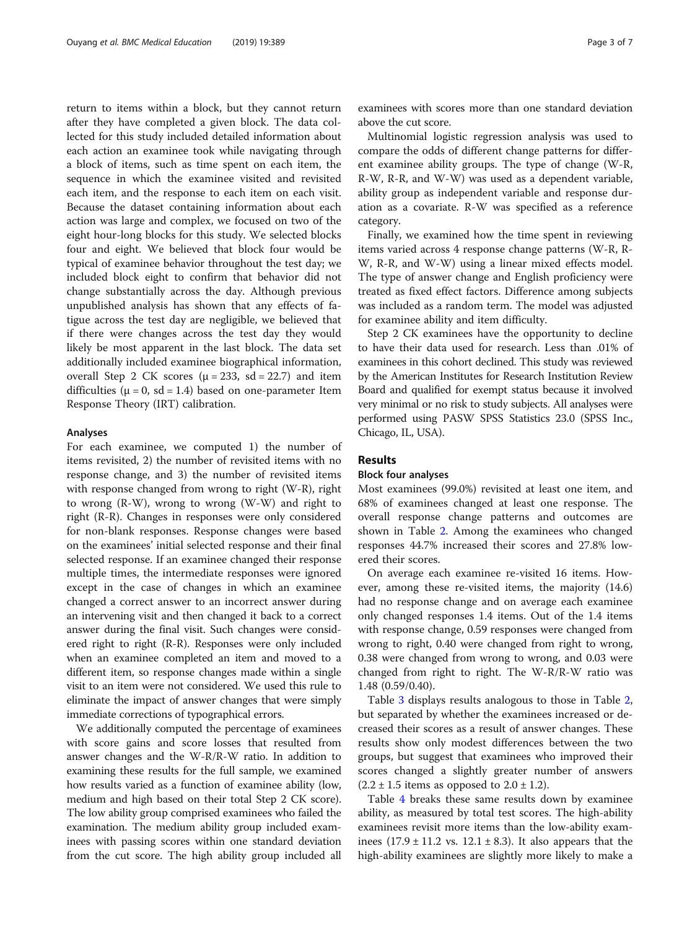return to items within a block, but they cannot return after they have completed a given block. The data collected for this study included detailed information about each action an examinee took while navigating through a block of items, such as time spent on each item, the sequence in which the examinee visited and revisited each item, and the response to each item on each visit. Because the dataset containing information about each action was large and complex, we focused on two of the eight hour-long blocks for this study. We selected blocks four and eight. We believed that block four would be typical of examinee behavior throughout the test day; we included block eight to confirm that behavior did not change substantially across the day. Although previous unpublished analysis has shown that any effects of fatigue across the test day are negligible, we believed that if there were changes across the test day they would likely be most apparent in the last block. The data set additionally included examinee biographical information, overall Step 2 CK scores ( $\mu$  = 233, sd = 22.7) and item difficulties ( $\mu$  = 0, sd = 1.4) based on one-parameter Item Response Theory (IRT) calibration.

#### Analyses

For each examinee, we computed 1) the number of items revisited, 2) the number of revisited items with no response change, and 3) the number of revisited items with response changed from wrong to right (W-R), right to wrong (R-W), wrong to wrong (W-W) and right to right (R-R). Changes in responses were only considered for non-blank responses. Response changes were based on the examinees' initial selected response and their final selected response. If an examinee changed their response multiple times, the intermediate responses were ignored except in the case of changes in which an examinee changed a correct answer to an incorrect answer during an intervening visit and then changed it back to a correct answer during the final visit. Such changes were considered right to right (R-R). Responses were only included when an examinee completed an item and moved to a different item, so response changes made within a single visit to an item were not considered. We used this rule to eliminate the impact of answer changes that were simply immediate corrections of typographical errors.

We additionally computed the percentage of examinees with score gains and score losses that resulted from answer changes and the W-R/R-W ratio. In addition to examining these results for the full sample, we examined how results varied as a function of examinee ability (low, medium and high based on their total Step 2 CK score). The low ability group comprised examinees who failed the examination. The medium ability group included examinees with passing scores within one standard deviation from the cut score. The high ability group included all

examinees with scores more than one standard deviation above the cut score.

Multinomial logistic regression analysis was used to compare the odds of different change patterns for different examinee ability groups. The type of change (W-R, R-W, R-R, and W-W) was used as a dependent variable, ability group as independent variable and response duration as a covariate. R-W was specified as a reference category.

Finally, we examined how the time spent in reviewing items varied across 4 response change patterns (W-R, R-W, R-R, and W-W) using a linear mixed effects model. The type of answer change and English proficiency were treated as fixed effect factors. Difference among subjects was included as a random term. The model was adjusted for examinee ability and item difficulty.

Step 2 CK examinees have the opportunity to decline to have their data used for research. Less than .01% of examinees in this cohort declined. This study was reviewed by the American Institutes for Research Institution Review Board and qualified for exempt status because it involved very minimal or no risk to study subjects. All analyses were performed using PASW SPSS Statistics 23.0 (SPSS Inc., Chicago, IL, USA).

## Results

## Block four analyses

Most examinees (99.0%) revisited at least one item, and 68% of examinees changed at least one response. The overall response change patterns and outcomes are shown in Table [2](#page-3-0). Among the examinees who changed responses 44.7% increased their scores and 27.8% lowered their scores.

On average each examinee re-visited 16 items. However, among these re-visited items, the majority (14.6) had no response change and on average each examinee only changed responses 1.4 items. Out of the 1.4 items with response change, 0.59 responses were changed from wrong to right, 0.40 were changed from right to wrong, 0.38 were changed from wrong to wrong, and 0.03 were changed from right to right. The W-R/R-W ratio was 1.48 (0.59/0.40).

Table [3](#page-3-0) displays results analogous to those in Table [2](#page-3-0), but separated by whether the examinees increased or decreased their scores as a result of answer changes. These results show only modest differences between the two groups, but suggest that examinees who improved their scores changed a slightly greater number of answers  $(2.2 \pm 1.5)$  items as opposed to  $2.0 \pm 1.2$ ).

Table [4](#page-4-0) breaks these same results down by examinee ability, as measured by total test scores. The high-ability examinees revisit more items than the low-ability examinees  $(17.9 \pm 11.2 \text{ vs. } 12.1 \pm 8.3)$ . It also appears that the high-ability examinees are slightly more likely to make a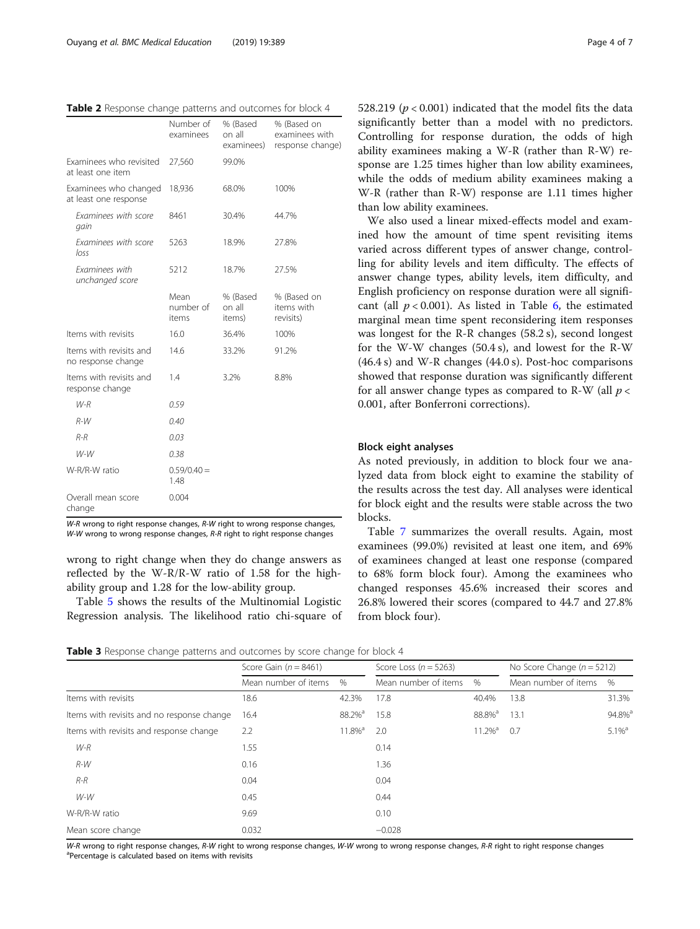<span id="page-3-0"></span>Table 2 Response change patterns and outcomes for block 4

|                                                | Number of<br>examinees     | % (Based<br>on all<br>examinees) | % (Based on<br>examinees with<br>response change) |
|------------------------------------------------|----------------------------|----------------------------------|---------------------------------------------------|
| Examinees who revisited<br>at least one item   | 27,560                     | 99.0%                            |                                                   |
| Examinees who changed<br>at least one response | 18,936                     | 68.0%                            | 100%                                              |
| <b>Examinees with score</b><br>gain            | 8461                       | 30.4%                            | 44.7%                                             |
| <b>Examinees with score</b><br>loss            | 5263                       | 18.9%                            | 27.8%                                             |
| <b>Examinees</b> with<br>unchanged score       | 5212                       | 18.7%                            | 27.5%                                             |
|                                                | Mean<br>number of<br>items | % (Based<br>on all<br>items)     | % (Based on<br>items with<br>revisits)            |
| Items with revisits                            | 16.0                       | 36.4%                            | 100%                                              |
| Items with revisits and<br>no response change  | 14.6                       | 33.2%                            | 91.2%                                             |
| Items with revisits and<br>response change     | 1.4                        | 3.2%                             | 8.8%                                              |
| $W-R$                                          | 0.59                       |                                  |                                                   |
| $R-W$                                          | 0.40                       |                                  |                                                   |
| $R-R$                                          | 0.03                       |                                  |                                                   |
| $W-W$                                          | 0.38                       |                                  |                                                   |
| W-R/R-W ratio                                  | $0.59/0.40=$<br>1.48       |                                  |                                                   |
| Overall mean score<br>change                   | 0.004                      |                                  |                                                   |

W-R wrong to right response changes, R-W right to wrong response changes, W-W wrong to wrong response changes, R-R right to right response changes

wrong to right change when they do change answers as reflected by the W-R/R-W ratio of 1.58 for the highability group and 1.28 for the low-ability group.

Table [5](#page-4-0) shows the results of the Multinomial Logistic Regression analysis. The likelihood ratio chi-square of

528.219 ( $p < 0.001$ ) indicated that the model fits the data significantly better than a model with no predictors. Controlling for response duration, the odds of high ability examinees making a W-R (rather than R-W) response are 1.25 times higher than low ability examinees, while the odds of medium ability examinees making a W-R (rather than R-W) response are 1.11 times higher than low ability examinees.

We also used a linear mixed-effects model and examined how the amount of time spent revisiting items varied across different types of answer change, controlling for ability levels and item difficulty. The effects of answer change types, ability levels, item difficulty, and English proficiency on response duration were all significant (all  $p < 0.001$ ). As listed in Table [6](#page-5-0), the estimated marginal mean time spent reconsidering item responses was longest for the R-R changes (58.2 s), second longest for the W-W changes (50.4 s), and lowest for the R-W (46.4 s) and W-R changes (44.0 s). Post-hoc comparisons showed that response duration was significantly different for all answer change types as compared to R-W (all  $p <$ 0.001, after Bonferroni corrections).

## Block eight analyses

As noted previously, in addition to block four we analyzed data from block eight to examine the stability of the results across the test day. All analyses were identical for block eight and the results were stable across the two blocks.

Table [7](#page-5-0) summarizes the overall results. Again, most examinees (99.0%) revisited at least one item, and 69% of examinees changed at least one response (compared to 68% form block four). Among the examinees who changed responses 45.6% increased their scores and 26.8% lowered their scores (compared to 44.7 and 27.8% from block four).

Table 3 Response change patterns and outcomes by score change for block 4

|                                            | Score Gain ( $n = 8461$ ) |                       | Score Loss ( $n = 5263$ ) |                       | No Score Change ( $n = 5212$ ) |                      |
|--------------------------------------------|---------------------------|-----------------------|---------------------------|-----------------------|--------------------------------|----------------------|
|                                            | Mean number of items      | %                     | Mean number of items      | $\%$                  | Mean number of items           | %                    |
| Items with revisits                        | 18.6                      | 42.3%                 | 17.8                      | 40.4%                 | 13.8                           | 31.3%                |
| Items with revisits and no response change | 16.4                      | 88.2% <sup>a</sup>    | 15.8                      | 88.8% <sup>a</sup>    | 13.1                           | 94.8% <sup>a</sup>   |
| Items with revisits and response change    | 2.2                       | $11.8\%$ <sup>a</sup> | 2.0                       | $11.2\%$ <sup>a</sup> | 0.7                            | $5.1\%$ <sup>a</sup> |
| $W-R$                                      | 1.55                      |                       | 0.14                      |                       |                                |                      |
| $R-W$                                      | 0.16                      |                       | 1.36                      |                       |                                |                      |
| R-R                                        | 0.04                      |                       | 0.04                      |                       |                                |                      |
| $W-W$                                      | 0.45                      |                       | 0.44                      |                       |                                |                      |
| W-R/R-W ratio                              | 9.69                      |                       | 0.10                      |                       |                                |                      |
| Mean score change                          | 0.032                     |                       | $-0.028$                  |                       |                                |                      |

W-R wrong to right response changes, R-W right to wrong response changes, W-W wrong to wrong response changes, R-R right to right response changes Percentage is calculated based on items with revisits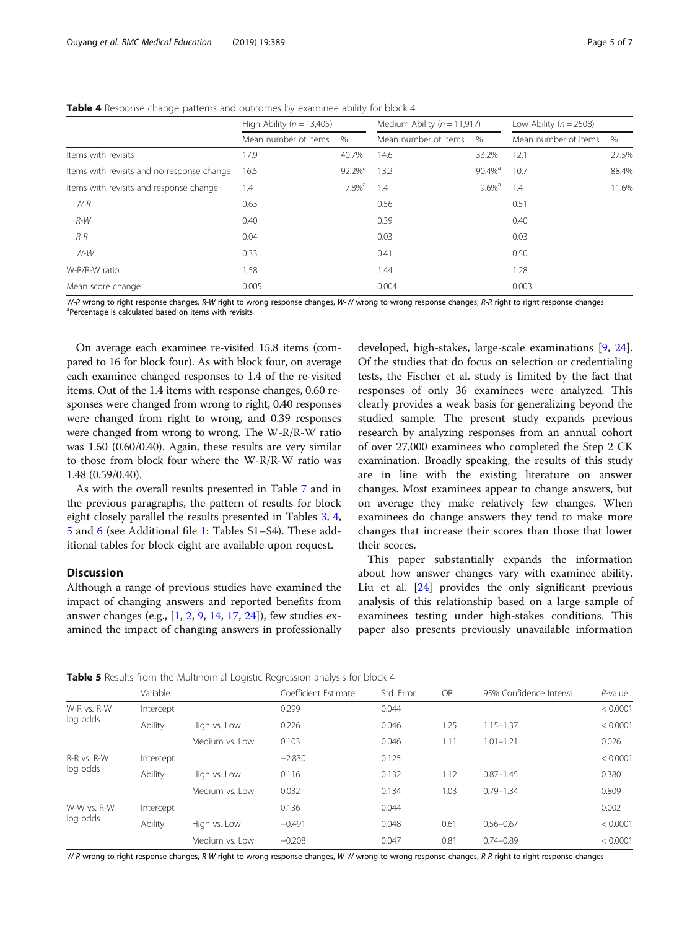<span id="page-4-0"></span>

|  |  | <b>Table 4</b> Response change patterns and outcomes by examinee ability for block 4 |  |  |
|--|--|--------------------------------------------------------------------------------------|--|--|
|  |  |                                                                                      |  |  |

|                                            | High Ability ( $n = 13,405$ ) |                       | Medium Ability ( $n = 11,917$ ) |                       | Low Ability ( $n = 2508$ ) |       |
|--------------------------------------------|-------------------------------|-----------------------|---------------------------------|-----------------------|----------------------------|-------|
|                                            | Mean number of items          | %                     | Mean number of items            | %                     | Mean number of items       | $\%$  |
| Items with revisits                        | 17.9                          | 40.7%                 | 14.6                            | 33.2%                 | 12.1                       | 27.5% |
| Items with revisits and no response change | 16.5                          | $92.2\%$ <sup>a</sup> | 13.2                            | $90.4\%$ <sup>a</sup> | 10.7                       | 88.4% |
| Items with revisits and response change    | 1.4                           | $7.8\%$ <sup>a</sup>  | 1.4                             | $9.6\%$ <sup>a</sup>  | 1.4                        | 11.6% |
| W-R                                        | 0.63                          |                       | 0.56                            |                       | 0.51                       |       |
| $R-W$                                      | 0.40                          |                       | 0.39                            |                       | 0.40                       |       |
| R-R                                        | 0.04                          |                       | 0.03                            |                       | 0.03                       |       |
| $W-W$                                      | 0.33                          |                       | 0.41                            |                       | 0.50                       |       |
| W-R/R-W ratio                              | 1.58                          |                       | 1.44                            |                       | 1.28                       |       |
| Mean score change                          | 0.005                         |                       | 0.004                           |                       | 0.003                      |       |

W-R wrong to right response changes, R-W right to wrong response changes, W-W wrong to wrong response changes, R-R right to right response changes aPercentage is calculated based on items with revisits

On average each examinee re-visited 15.8 items (compared to 16 for block four). As with block four, on average each examinee changed responses to 1.4 of the re-visited items. Out of the 1.4 items with response changes, 0.60 responses were changed from wrong to right, 0.40 responses were changed from right to wrong, and 0.39 responses were changed from wrong to wrong. The W-R/R-W ratio was 1.50 (0.60/0.40). Again, these results are very similar to those from block four where the W-R/R-W ratio was 1.48 (0.59/0.40).

As with the overall results presented in Table [7](#page-5-0) and in the previous paragraphs, the pattern of results for block eight closely parallel the results presented in Tables [3](#page-3-0), 4, 5 and [6](#page-5-0) (see Additional file [1:](#page-6-0) Tables S1–S4). These additional tables for block eight are available upon request.

## **Discussion**

Although a range of previous studies have examined the impact of changing answers and reported benefits from answer changes (e.g., [\[1](#page-6-0), [2](#page-6-0), [9](#page-6-0), [14](#page-6-0), [17](#page-6-0), [24](#page-6-0)]), few studies examined the impact of changing answers in professionally developed, high-stakes, large-scale examinations [\[9](#page-6-0), [24](#page-6-0)]. Of the studies that do focus on selection or credentialing tests, the Fischer et al. study is limited by the fact that responses of only 36 examinees were analyzed. This clearly provides a weak basis for generalizing beyond the studied sample. The present study expands previous research by analyzing responses from an annual cohort of over 27,000 examinees who completed the Step 2 CK examination. Broadly speaking, the results of this study are in line with the existing literature on answer changes. Most examinees appear to change answers, but on average they make relatively few changes. When examinees do change answers they tend to make more changes that increase their scores than those that lower their scores.

This paper substantially expands the information about how answer changes vary with examinee ability. Liu et al. [\[24](#page-6-0)] provides the only significant previous analysis of this relationship based on a large sample of examinees testing under high-stakes conditions. This paper also presents previously unavailable information

Table 5 Results from the Multinomial Logistic Regression analysis for block 4

|                         |           | $\tilde{\phantom{a}}$ | $\tilde{\phantom{a}}$ |            |           |                         |            |
|-------------------------|-----------|-----------------------|-----------------------|------------|-----------|-------------------------|------------|
|                         | Variable  |                       | Coefficient Estimate  | Std. Error | <b>OR</b> | 95% Confidence Interval | $P$ -value |
| W-R vs. R-W             | Intercept |                       | 0.299                 | 0.044      |           |                         | < 0.0001   |
| log odds                | Ability:  | High vs. Low          | 0.226                 | 0.046      | 1.25      | $1.15 - 1.37$           | < 0.0001   |
|                         |           | Medium vs. Low        | 0.103                 | 0.046      | 1.11      | $1.01 - 1.21$           | 0.026      |
| R-R vs. R-W<br>log odds | Intercept |                       | $-2.830$              | 0.125      |           |                         | < 0.0001   |
|                         | Ability:  | High vs. Low          | 0.116                 | 0.132      | 1.12      | $0.87 - 1.45$           | 0.380      |
|                         |           | Medium vs. Low        | 0.032                 | 0.134      | 1.03      | $0.79 - 1.34$           | 0.809      |
| W-W vs. R-W<br>log odds | Intercept |                       | 0.136                 | 0.044      |           |                         | 0.002      |
|                         | Ability:  | High vs. Low          | $-0.491$              | 0.048      | 0.61      | $0.56 - 0.67$           | < 0.0001   |
|                         |           | Medium vs. Low        | $-0.208$              | 0.047      | 0.81      | $0.74 - 0.89$           | < 0.0001   |

W-R wrong to right response changes, R-W right to wrong response changes, W-W wrong to wrong response changes, R-R right to right response changes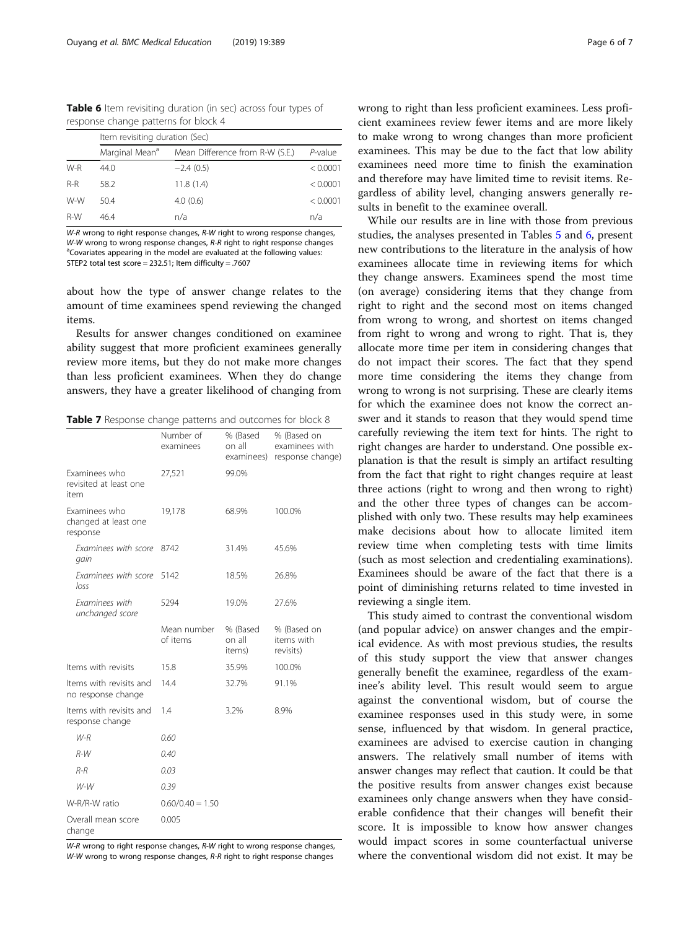<span id="page-5-0"></span>Table 6 Item revisiting duration (in sec) across four types of response change patterns for block 4

|       | Item revisiting duration (Sec) |                                 |            |  |  |  |  |
|-------|--------------------------------|---------------------------------|------------|--|--|--|--|
|       | Marginal Mean <sup>a</sup>     | Mean Difference from R-W (S.E.) | $P$ -value |  |  |  |  |
| W-R   | 44.0                           | $-2.4(0.5)$                     | < 0.0001   |  |  |  |  |
| $R-R$ | 58.2                           | 11.8(1.4)                       | < 0.0001   |  |  |  |  |
| W-W   | 50.4                           | 4.0(0.6)                        | < 0.0001   |  |  |  |  |
| R-W   | 46.4                           | n/a                             | n/a        |  |  |  |  |

W-R wrong to right response changes, R-W right to wrong response changes, W-W wrong to wrong response changes,  $R-R$  right to right response changes <sup>a</sup>Covariates appearing in the model are evaluated at the following values: STEP2 total test score = 232.51; Item difficulty = .7607

about how the type of answer change relates to the amount of time examinees spend reviewing the changed items.

Results for answer changes conditioned on examinee ability suggest that more proficient examinees generally review more items, but they do not make more changes than less proficient examinees. When they do change answers, they have a greater likelihood of changing from

Table 7 Response change patterns and outcomes for block 8

|                                                   | Number of<br>examinees  | % (Based<br>on all<br>examinees) | % (Based on<br>examinees with<br>response change) |
|---------------------------------------------------|-------------------------|----------------------------------|---------------------------------------------------|
| Examinees who<br>revisited at least one<br>item   | 27,521                  | 99.0%                            |                                                   |
| Examinees who<br>changed at least one<br>response | 19,178                  | 68.9%                            | 100.0%                                            |
| Examinees with score<br>gain                      | 8742                    | 31.4%                            | 45.6%                                             |
| Examinees with score<br>loss                      | 5142                    | 18.5%                            | 26.8%                                             |
| Examinees with<br>unchanged score                 | 5294                    | 19.0%                            | 27.6%                                             |
|                                                   | Mean number<br>of items | % (Based<br>on all<br>items)     | % (Based on<br>items with<br>revisits)            |
| Items with revisits                               | 15.8                    | 35.9%                            | 100.0%                                            |
| Items with revisits and<br>no response change     | 14.4                    | 32.7%                            | 91.1%                                             |
| Items with revisits and<br>response change        | 1.4                     | 3.2%                             | 8.9%                                              |
| $W-R$                                             | 0.60                    |                                  |                                                   |
| $R-W$                                             | 0.40                    |                                  |                                                   |
| $R-R$                                             | 0.03                    |                                  |                                                   |
| $W-W$                                             | 0.39                    |                                  |                                                   |
| W-R/R-W ratio                                     | $0.60/0.40 = 1.50$      |                                  |                                                   |
| Overall mean score<br>change                      | 0.005                   |                                  |                                                   |

W-R wrong to right response changes, R-W right to wrong response changes, W-W wrong to wrong response changes, R-R right to right response changes

wrong to right than less proficient examinees. Less proficient examinees review fewer items and are more likely to make wrong to wrong changes than more proficient examinees. This may be due to the fact that low ability examinees need more time to finish the examination and therefore may have limited time to revisit items. Regardless of ability level, changing answers generally results in benefit to the examinee overall.

While our results are in line with those from previous studies, the analyses presented in Tables [5](#page-4-0) and 6, present new contributions to the literature in the analysis of how examinees allocate time in reviewing items for which they change answers. Examinees spend the most time (on average) considering items that they change from right to right and the second most on items changed from wrong to wrong, and shortest on items changed from right to wrong and wrong to right. That is, they allocate more time per item in considering changes that do not impact their scores. The fact that they spend more time considering the items they change from wrong to wrong is not surprising. These are clearly items for which the examinee does not know the correct answer and it stands to reason that they would spend time carefully reviewing the item text for hints. The right to right changes are harder to understand. One possible explanation is that the result is simply an artifact resulting from the fact that right to right changes require at least three actions (right to wrong and then wrong to right) and the other three types of changes can be accomplished with only two. These results may help examinees make decisions about how to allocate limited item review time when completing tests with time limits (such as most selection and credentialing examinations). Examinees should be aware of the fact that there is a point of diminishing returns related to time invested in reviewing a single item.

This study aimed to contrast the conventional wisdom (and popular advice) on answer changes and the empirical evidence. As with most previous studies, the results of this study support the view that answer changes generally benefit the examinee, regardless of the examinee's ability level. This result would seem to argue against the conventional wisdom, but of course the examinee responses used in this study were, in some sense, influenced by that wisdom. In general practice, examinees are advised to exercise caution in changing answers. The relatively small number of items with answer changes may reflect that caution. It could be that the positive results from answer changes exist because examinees only change answers when they have considerable confidence that their changes will benefit their score. It is impossible to know how answer changes would impact scores in some counterfactual universe where the conventional wisdom did not exist. It may be